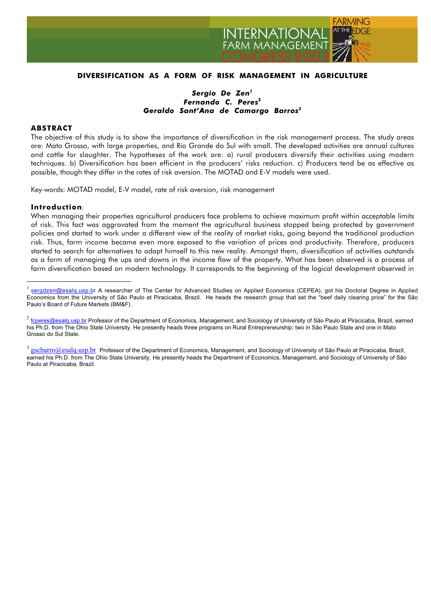

# **DIVERSIFICATION AS A FORM OF RISK MANAGEMENT IN AGRICULTURE**

# *Sergio De Zen<sup>1</sup> Fernando C. Peres2 Geraldo Sant'Ana de Camargo Barros3*

## **ABSTRACT**

The objective of this study is to show the importance of diversification in the risk management process. The study areas are: Mato Grosso, with large properties, and Rio Grande do Sul with small. The developed activities are annual cultures and cattle for slaughter. The hypotheses of the work are: a) rural producers diversify their activities using modern techniques. b) Diversification has been efficient in the producers' risks reduction. c) Producers tend be as effective as possible, though they differ in the rates of risk aversion. The MOTAD and E-V models were used.

Key-words: MOTAD model, E-V model, rate of risk aversion, risk management

#### **Introduction**:

 $\overline{a}$ 

When managing their properties agricultural producers face problems to achieve maximum profit within acceptable limits of risk. This fact was aggravated from the moment the agricultural business stopped being protected by government policies and started to work under a different view of the reality of market risks, going beyond the traditional production risk. Thus, farm income became even more exposed to the variation of prices and productivity. Therefore, producers started to search for alternatives to adapt himself to this new reality. Amongst them, diversification of activities outstands as a form of managing the ups and downs in the income flow of the property. What has been observed is a process of farm diversification based on modern technology. It corresponds to the beginning of the logical development observed in

<sup>&</sup>lt;sup>1</sup> sergdzen@esalq.usp.br A researcher of The Center for Advanced Studies on Applied Economics (CEPEA), got his Doctoral Degree in Applied Economics from the University of São Paulo at Piracicaba, Brazil. He heads the research group that set the "beef daily clearing price" for the São Paulo's Board of Future Markets (BM&F).

 $2$  fcperes@esalq.usp.br Professor of the Department of Economics, Management, and Sociology of University of São Paulo at Piracicaba, Brazil, earned his Ph.D. from The Ohio State University. He presently heads three programs on Rural Entrepreneurship: two in São Paulo State and one in Mato Grosso do Sul State.

 $3$  gscbarro $@$ esalq.usp.br Professor of the Department of Economics, Management, and Sociology of University of São Paulo at Piracicaba, Brazil, earned his Ph.D. from The Ohio State University. He presently heads the Department of Economics, Management, and Sociology of University of São Paulo at Piracicaba, Brazil.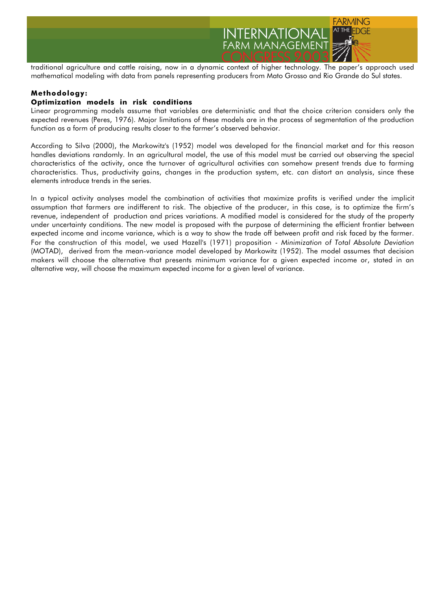

traditional agriculture and cattle raising, now in a dynamic context of higher technology. The paper's approach used mathematical modeling with data from panels representing producers from Mato Grosso and Rio Grande do Sul states.

# **Methodology:**

## **Optimization models in risk conditions**

Linear programming models assume that variables are deterministic and that the choice criterion considers only the expected revenues (Peres, 1976). Major limitations of these models are in the process of segmentation of the production function as a form of producing results closer to the farmer's observed behavior.

According to Silva (2000), the Markowitz's (1952) model was developed for the financial market and for this reason handles deviations randomly. In an agricultural model, the use of this model must be carried out observing the special characteristics of the activity, once the turnover of agricultural activities can somehow present trends due to farming characteristics. Thus, productivity gains, changes in the production system, etc. can distort an analysis, since these elements introduce trends in the series.

In a typical activity analyses model the combination of activities that maximize profits is verified under the implicit assumption that farmers are indifferent to risk. The objective of the producer, in this case, is to optimize the firm's revenue, independent of production and prices variations. A modified model is considered for the study of the property under uncertainty conditions. The new model is proposed with the purpose of determining the efficient frontier between expected income and income variance, which is a way to show the trade off between profit and risk faced by the farmer. For the construction of this model, we used Hazell's (1971) proposition - *Minimization of Total Absolute Deviation* (MOTAD), derived from the mean-variance model developed by Markowitz (1952). The model assumes that decision makers will choose the alternative that presents minimum variance for a given expected income or, stated in an alternative way, will choose the maximum expected income for a given level of variance.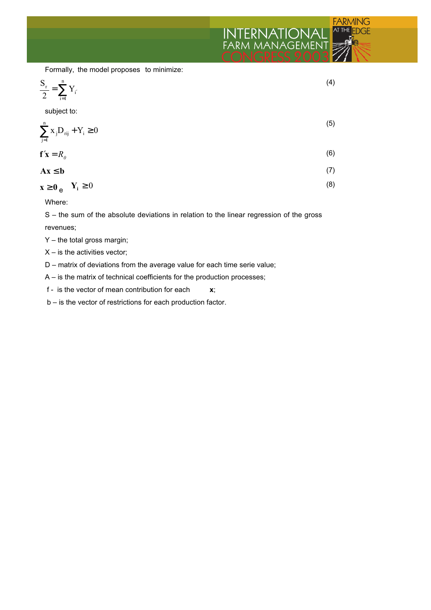

Formally, the model proposes to minimize:

$$
\frac{S_r}{2} = \sum_{i=1}^{n} Y_{i'}
$$
 (4)

subject to:

$$
\sum_{j=1}^{n} x_j D_{\text{rij}} + Y_i \ge 0
$$
\n(5)

$$
\mathbf{f}'\mathbf{x} = R_o \tag{6}
$$

$$
Ax \leq b \tag{7}
$$

$$
\mathbf{x} \ge \mathbf{0}_{\mathbf{e}} \quad \mathbf{Y}_{i} \ge 0 \tag{8}
$$

Where:

S – the sum of the absolute deviations in relation to the linear regression of the gross revenues;

- Y the total gross margin;
- $X -$  is the activities vector;
- D matrix of deviations from the average value for each time serie value;
- A is the matrix of technical coefficients for the production processes;
- f is the vector of mean contribution for each **x**;
- b is the vector of restrictions for each production factor.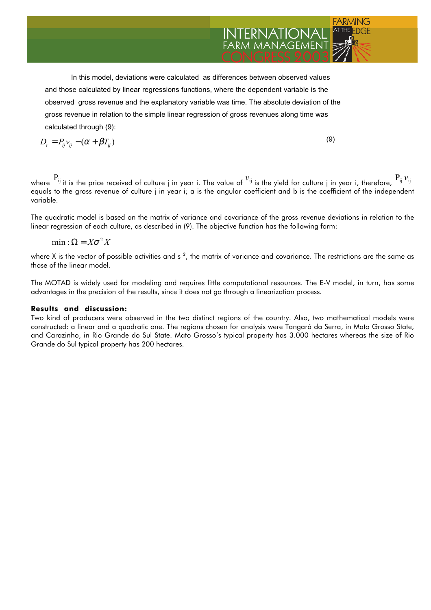In this model, deviations were calculated as differences between observed values and those calculated by linear regressions functions, where the dependent variable is the observed gross revenue and the explanatory variable was time. The absolute deviation of the gross revenue in relation to the simple linear regression of gross revenues along time was calculated through (9):

$$
D_r = P_{ij} v_{ij} - (\alpha + \beta T_{ij})
$$
\n(9)

where  $P_{ij}$  it is the price received of culture j in year i. The value of  $v_{ij}$  is the yield for culture j in year i, therefore,  $P_{ij}v_{ij}$ equals to the gross revenue of culture j in year i; a is the angular coefficient and b is the coefficient of the independent variable.

FARMING

**INTERNATIONAL** 

The quadratic model is based on the matrix of variance and covariance of the gross revenue deviations in relation to the linear regression of each culture, as described in (9). The objective function has the following form:

 $min: \Omega = X\sigma^2 X$ 

where X is the vector of possible activities and s  $^2$ , the matrix of variance and covariance. The restrictions are the same as those of the linear model.

The MOTAD is widely used for modeling and requires little computational resources. The E-V model, in turn, has some advantages in the precision of the results, since it does not go through a linearization process.

#### **Results and discussion:**

Two kind of producers were observed in the two distinct regions of the country. Also, two mathematical models were constructed: a linear and a quadratic one. The regions chosen for analysis were Tangará da Serra, in Mato Grosso State, and Carazinho, in Rio Grande do Sul State. Mato Grosso's typical property has 3.000 hectares whereas the size of Rio Grande do Sul typical property has 200 hectares.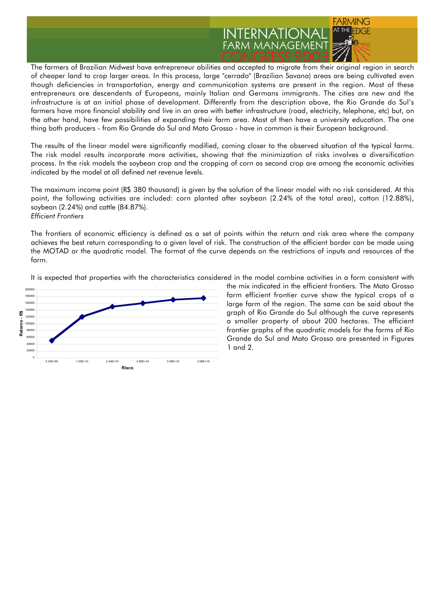

The farmers of Brazilian Midwest have entrepreneur abilities and accepted to migrate from their original region in search of cheaper land to crop larger areas. In this process, large "cerrado" (Brazilian Savana) areas are being cultivated even though deficiencies in transportation, energy and communication systems are present in the region. Most of these entrepreneurs are descendents of Europeans, mainly Italian and Germans immigrants. The cities are new and the infrastructure is at an initial phase of development. Differently from the description above, the Rio Grande do Sul's farmers have more financial stability and live in an area with better infrastructure (road, electricity, telephone, etc) but, on the other hand, have few possibilities of expanding their farm area. Most of then have a university education. The one thing both producers - from Rio Grande do Sul and Mato Grosso - have in common is their European background.

The results of the linear model were significantly modified, coming closer to the observed situation of the typical farms. The risk model results incorporate more activities, showing that the minimization of risks involves a diversification process. In the risk models the soybean crop and the cropping of corn as second crop are among the economic activities indicated by the model at all defined net revenue levels.

The maximum income point (R\$ 380 thousand) is given by the solution of the linear model with no risk considered. At this point, the following activities are included: corn planted after soybean (2.24% of the total area), cotton (12.88%), soybean (2.24%) and cattle (84.87%). *Efficient Frontiers*

The frontiers of economic efficiency is defined as a set of points within the return and risk area where the company achieves the best return corresponding to a given level of risk. The construction of the efficient border can be made using the MOTAD or the quadratic model. The format of the curve depends on the restrictions of inputs and resources of the farm.



It is expected that properties with the characteristics considered in the model combine activities in a form consistent with

the mix indicated in the efficient frontiers. The Mato Grosso farm efficient frontier curve show the typical crops of a large farm of the region. The same can be said about the graph of Rio Grande do Sul although the curve represents a smaller property of about 200 hectares. The efficient frontier graphs of the quadratic models for the farms of Rio Grande do Sul and Mato Grosso are presented in Figures 1 and 2.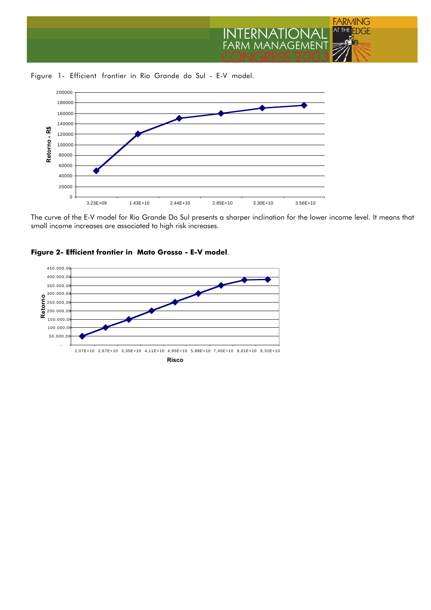

Figure 1- Efficient frontier in Rio Grande do Sul - E-V model.



The curve of the E-V model for Rio Grande Do Sul presents a sharper inclination for the lower income level. It means that small income increases are associated to high risk increases.

## **Figure 2- Efficient frontier in Mato Grosso - E-V model**.

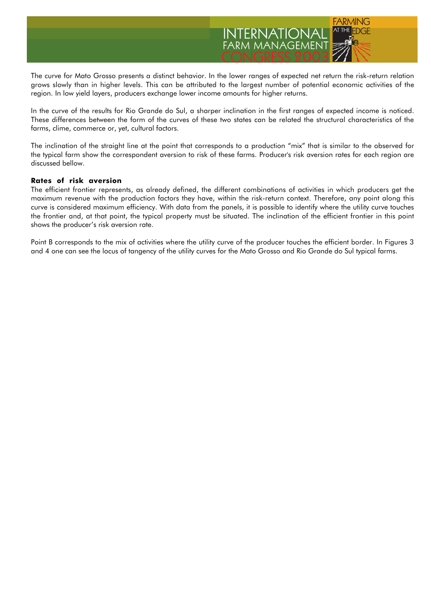

The curve for Mato Grosso presents a distinct behavior. In the lower ranges of expected net return the risk-return relation grows slowly than in higher levels. This can be attributed to the largest number of potential economic activities of the region. In low yield layers, producers exchange lower income amounts for higher returns.

In the curve of the results for Rio Grande do Sul, a sharper inclination in the first ranges of expected income is noticed. These differences between the form of the curves of these two states can be related the structural characteristics of the farms, clime, commerce or, yet, cultural factors.

The inclination of the straight line at the point that corresponds to a production "mix" that is similar to the observed for the typical farm show the correspondent aversion to risk of these farms. Producer's risk aversion rates for each region are discussed bellow.

## **Rates of risk aversion**

The efficient frontier represents, as already defined, the different combinations of activities in which producers get the maximum revenue with the production factors they have, within the risk-return context. Therefore, any point along this curve is considered maximum efficiency. With data from the panels, it is possible to identify where the utility curve touches the frontier and, at that point, the typical property must be situated. The inclination of the efficient frontier in this point shows the producer's risk aversion rate.

Point B corresponds to the mix of activities where the utility curve of the producer touches the efficient border. In Figures 3 and 4 one can see the locus of tangency of the utility curves for the Mato Grosso and Rio Grande do Sul typical farms.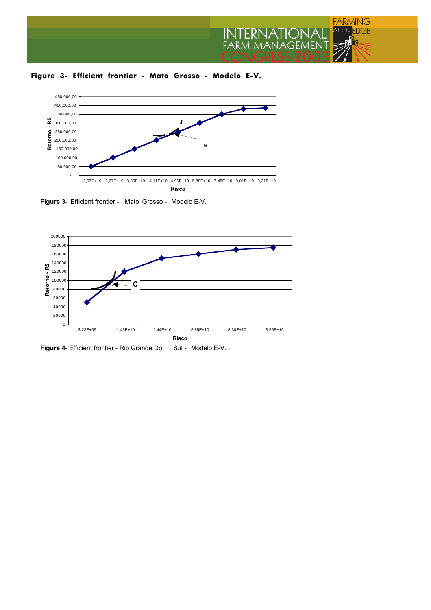

**Figure 3- Efficient frontier - Mato Grosso - Modelo E-V.**



**Figure 3**- Efficient frontier - Mato Grosso - Modelo E-V.



Figure 4- Efficient frontier - Rio Grande Do Sul - Modelo E-V.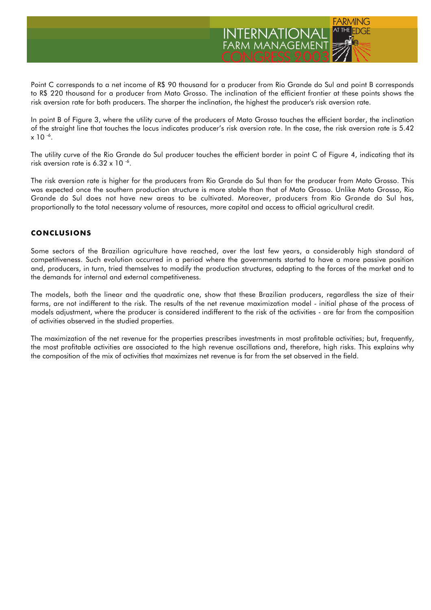

Point C corresponds to a net income of R\$ 90 thousand for a producer from Rio Grande do Sul and point B corresponds to R\$ 220 thousand for a producer from Mato Grosso. The inclination of the efficient frontier at these points shows the risk aversion rate for both producers. The sharper the inclination, the highest the producer's risk aversion rate.

In point B of Figure 3, where the utility curve of the producers of Mato Grosso touches the efficient border, the inclination of the straight line that touches the locus indicates producer's risk aversion rate. In the case, the risk aversion rate is 5.42  $x 10^{-6}$ .

The utility curve of the Rio Grande do Sul producer touches the efficient border in point C of Figure 4, indicating that its risk aversion rate is 6.32  $\times$  10 $^{-6}$ .

The risk aversion rate is higher for the producers from Rio Grande do Sul than for the producer from Mato Grosso. This was expected once the southern production structure is more stable than that of Mato Grosso. Unlike Mato Grosso, Rio Grande do Sul does not have new areas to be cultivated. Moreover, producers from Rio Grande do Sul has, proportionally to the total necessary volume of resources, more capital and access to official agricultural credit.

# **CONCLUSIONS**

Some sectors of the Brazilian agriculture have reached, over the last few years, a considerably high standard of competitiveness. Such evolution occurred in a period where the governments started to have a more passive position and, producers, in turn, tried themselves to modify the production structures, adapting to the forces of the market and to the demands for internal and external competitiveness.

The models, both the linear and the quadratic one, show that these Brazilian producers, regardless the size of their farms, are not indifferent to the risk. The results of the net revenue maximization model - initial phase of the process of models adjustment, where the producer is considered indifferent to the risk of the activities - are far from the composition of activities observed in the studied properties.

The maximization of the net revenue for the properties prescribes investments in most profitable activities; but, frequently, the most profitable activities are associated to the high revenue oscillations and, therefore, high risks. This explains why the composition of the mix of activities that maximizes net revenue is far from the set observed in the field.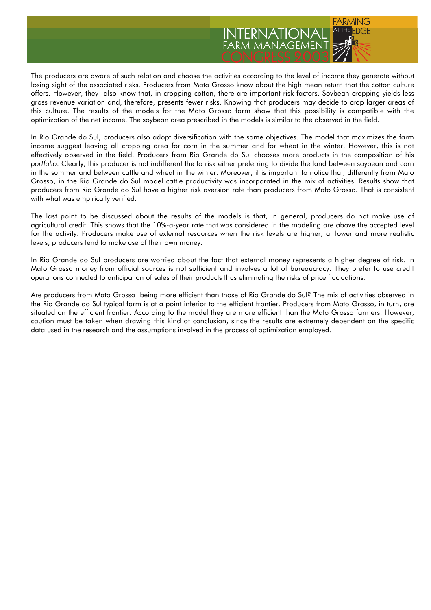

The producers are aware of such relation and choose the activities according to the level of income they generate without losing sight of the associated risks. Producers from Mato Grosso know about the high mean return that the cotton culture offers. However, they also know that, in cropping cotton, there are important risk factors. Soybean cropping yields less gross revenue variation and, therefore, presents fewer risks. Knowing that producers may decide to crop larger areas of this culture. The results of the models for the Mato Grosso farm show that this possibility is compatible with the optimization of the net income. The soybean area prescribed in the models is similar to the observed in the field.

In Rio Grande do Sul, producers also adopt diversification with the same objectives. The model that maximizes the farm income suggest leaving all cropping area for corn in the summer and for wheat in the winter. However, this is not effectively observed in the field. Producers from Rio Grande do Sul chooses more products in the composition of his *portfolio*. Clearly, this producer is not indifferent the to risk either preferring to divide the land between soybean and corn in the summer and between cattle and wheat in the winter. Moreover, it is important to notice that, differently from Mato Grosso, in the Rio Grande do Sul model cattle productivity was incorporated in the mix of activities. Results show that producers from Rio Grande do Sul have a higher risk aversion rate than producers from Mato Grosso. That is consistent with what was empirically verified.

The last point to be discussed about the results of the models is that, in general, producers do not make use of agricultural credit. This shows that the 10%-a-year rate that was considered in the modeling are above the accepted level for the activity. Producers make use of external resources when the risk levels are higher; at lower and more realistic levels, producers tend to make use of their own money.

In Rio Grande do Sul producers are worried about the fact that external money represents a higher degree of risk. In Mato Grosso money from official sources is not sufficient and involves a lot of bureaucracy. They prefer to use credit operations connected to anticipation of sales of their products thus eliminating the risks of price fluctuations.

Are producers from Mato Grosso being more efficient than those of Rio Grande do Sul? The mix of activities observed in the Rio Grande do Sul typical farm is at a point inferior to the efficient frontier. Producers from Mato Grosso, in turn, are situated on the efficient frontier. According to the model they are more efficient than the Mato Grosso farmers. However, caution must be taken when drawing this kind of conclusion, since the results are extremely dependent on the specific data used in the research and the assumptions involved in the process of optimization employed.